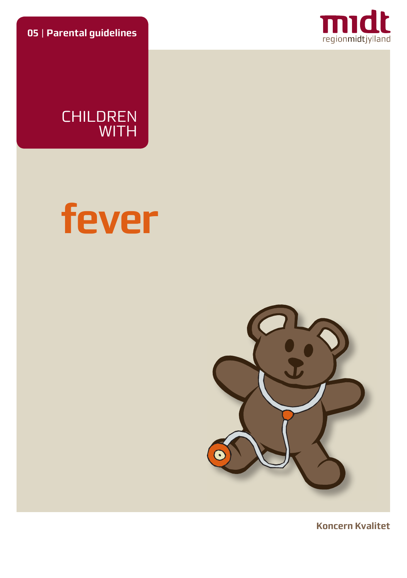**05** | **Parental guidelines**



CHILDREN WITH





**Koncern Kvalitet**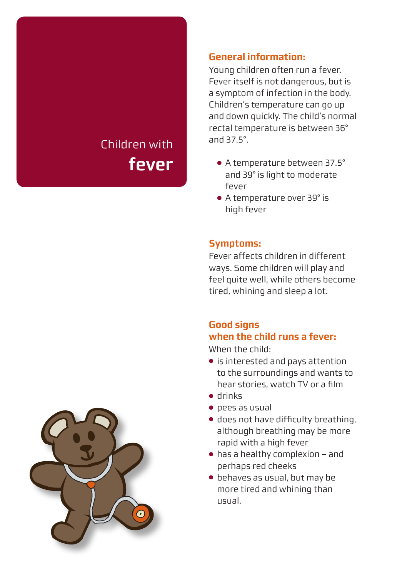# Children with **fever**

### **General information:**

Young children often run a fever. Fever itself is not dangerous, but is a symptom of infection in the body. Children's temperature can go up and down quickly. The child's normal rectal temperature is between 36° and 37.5°.

- A temperature between 37.5° and 39° is light to moderate fever
- A temperature over 39° is high fever

### **Symptoms:**

Fever affects children in different ways. Some children will play and feel quite well, while others become tired, whining and sleep a lot.

# **Good signs when the child runs a fever:**

When the child:

- is interested and pays attention to the surroundings and wants to hear stories, watch TV or a film
- drinks
- pees as usual
- $\bullet$  does not have difficulty breathing, although breathing may be more rapid with a high fever
- $\bullet$  has a healthy complexion and perhaps red cheeks
- behaves as usual, but may be more tired and whining than usual.

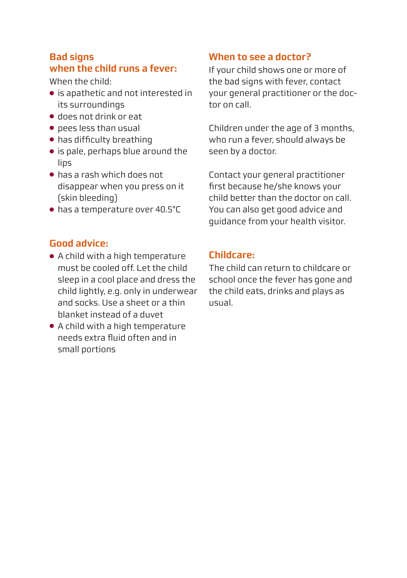### **Bad signs when the child runs a fever:**

When the child:

- is apathetic and not interested in its surroundings
- does not drink or eat
- pees less than usual
- has difficulty breathing
- is pale, perhaps blue around the lips
- has a rash which does not disappear when you press on it (skin bleeding)
- has a temperature over 40.5°C

## **Good advice:**

- A child with a high temperature must be cooled off. Let the child sleep in a cool place and dress the child lightly, e.g. only in underwear and socks. Use a sheet or a thin blanket instead of a duvet
- A child with a high temperature needs extra fluid often and in small portions

### **When to see a doctor?**

If your child shows one or more of the bad signs with fever, contact your general practitioner or the doctor on call.

Children under the age of 3 months, who run a fever, should always be seen by a doctor.

Contact your general practitioner first because he/she knows your child better than the doctor on call. You can also get good advice and guidance from your health visitor.

#### **Childcare:**

The child can return to childcare or school once the fever has gone and the child eats, drinks and plays as usual.